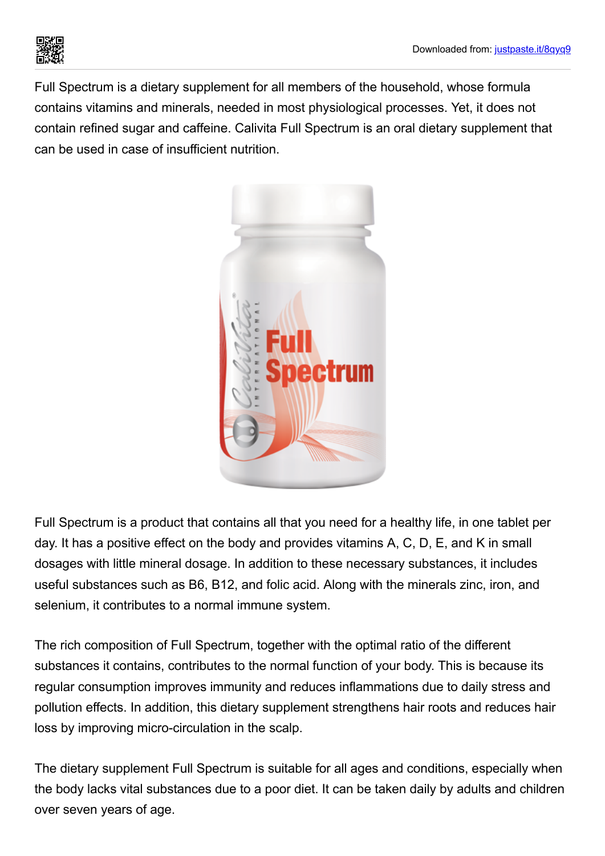

Full Spectrum is a dietary supplement for all members of the household, whose formula contains vitamins and minerals, needed in most physiological processes. Yet, it does not contain refined sugar and caffeine. Calivita Full Spectrum is an oral dietary supplement that can be used in case of insufficient nutrition.



Full Spectrum is a product that contains all that you need for a healthy life, in one tablet per day. It has a positive effect on the body and provides vitamins A, C, D, E, and K in small dosages with little mineral dosage. In addition to these necessary substances, it includes useful substances such as B6, B12, and folic acid. Along with the minerals zinc, iron, and selenium, it contributes to a normal immune system.

The rich composition of Full Spectrum, together with the optimal ratio of the different substances it contains, contributes to the normal function of your body. This is because its regular consumption improves immunity and reduces inflammations due to daily stress and pollution effects. In addition, this dietary supplement strengthens hair roots and reduces hair loss by improving micro-circulation in the scalp.

The dietary supplement Full Spectrum is suitable for all ages and conditions, especially when the body lacks vital substances due to a poor diet. It can be taken daily by adults and children over seven years of age.